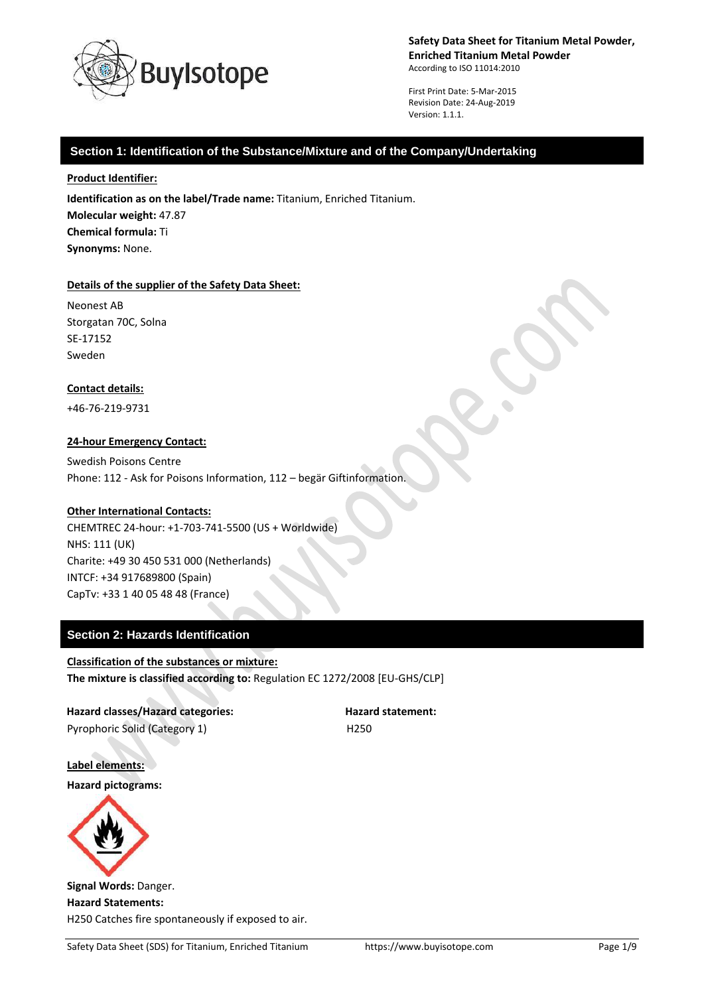

First Print Date: 5-Mar-2015 Revision Date: 24-Aug-2019 Version: 1.1.1.

### **Section 1: Identification of the Substance/Mixture and of the Company/Undertaking**

#### **Product Identifier:**

**Identification as on the label/Trade name:** Titanium, Enriched Titanium. **Molecular weight:** 47.87 **Chemical formula:** Ti **Synonyms:** None.

#### **Details of the supplier of the Safety Data Sheet:**

Neonest AB Storgatan 70C, Solna SE-17152 Sweden

### **Contact details:**

+46-76-219-9731

### **24-hour Emergency Contact:**

Swedish Poisons Centre Phone: 112 - Ask for Poisons Information, 112 – begär Giftinformation.

### **Other International Contacts:**

CHEMTREC 24-hour: +1-703-741-5500 (US + Worldwide) NHS: 111 (UK) Charite: +49 30 450 531 000 (Netherlands) INTCF: +34 917689800 (Spain) CapTv: +33 1 40 05 48 48 (France)

### **Section 2: Hazards Identification**

### **Classification of the substances or mixture: The mixture is classified according to:** Regulation EC 1272/2008 [EU-GHS/CLP]

**Hazard classes/Hazard categories: Hazard statement:** Pyrophoric Solid (Category 1) H250

**Label elements:**

**Hazard pictograms:**



**Signal Words:** Danger. **Hazard Statements:** H250 Catches fire spontaneously if exposed to air.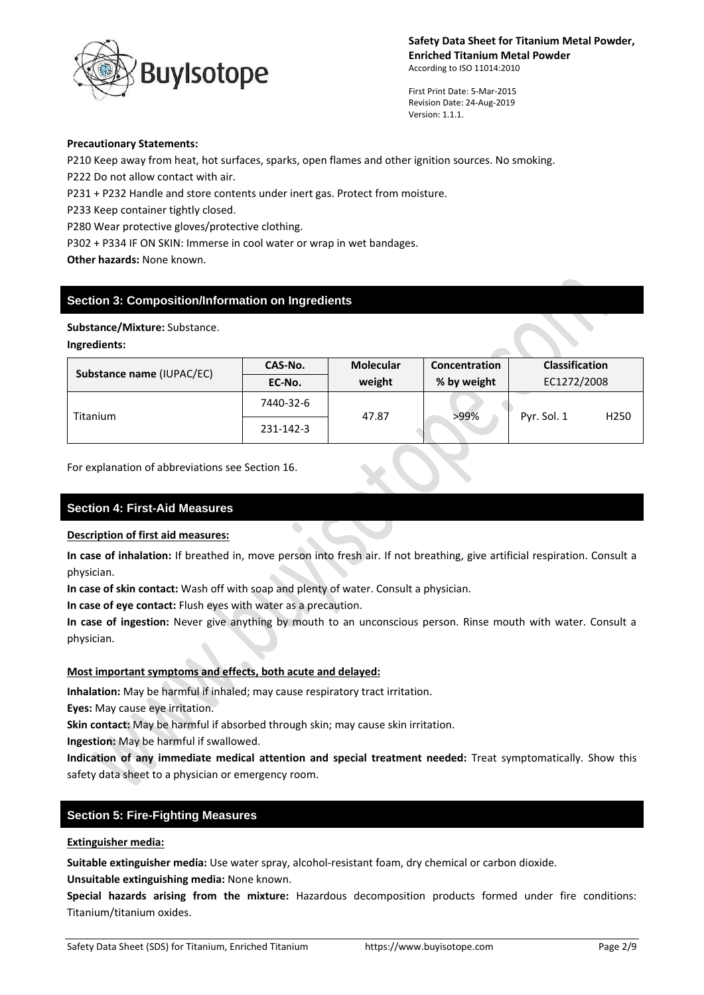

First Print Date: 5-Mar-2015 Revision Date: 24-Aug-2019 Version: 1.1.1.

#### **Precautionary Statements:**

P210 Keep away from heat, hot surfaces, sparks, open flames and other ignition sources. No smoking. P222 Do not allow contact with air.

P231 + P232 Handle and store contents under inert gas. Protect from moisture.

P233 Keep container tightly closed.

P280 Wear protective gloves/protective clothing.

P302 + P334 IF ON SKIN: Immerse in cool water or wrap in wet bandages.

**Other hazards:** None known.

# **Section 3: Composition/Information on Ingredients**

### **Substance/Mixture:** Substance.

### **Ingredients:**

| Substance name (IUPAC/EC) | CAS-No.   | <b>Molecular</b> | Concentration | <b>Classification</b> |
|---------------------------|-----------|------------------|---------------|-----------------------|
|                           | EC-No.    | weight           | % by weight   | EC1272/2008           |
| <b>Titanium</b>           | 7440-32-6 | 47.87            | >99%          | Pyr. Sol. 1<br>H250   |
|                           | 231-142-3 |                  |               |                       |

For explanation of abbreviations see Section 16.

### **Section 4: First-Aid Measures**

### **Description of first aid measures:**

**In case of inhalation:** If breathed in, move person into fresh air. If not breathing, give artificial respiration. Consult a physician.

**In case of skin contact:** Wash off with soap and plenty of water. Consult a physician.

**In case of eye contact:** Flush eyes with water as a precaution.

**In case of ingestion:** Never give anything by mouth to an unconscious person. Rinse mouth with water. Consult a physician.

### **Most important symptoms and effects, both acute and delayed:**

**Inhalation:** May be harmful if inhaled; may cause respiratory tract irritation.

**Eyes:** May cause eye irritation.

**Skin contact:** May be harmful if absorbed through skin; may cause skin irritation.

**Ingestion:** May be harmful if swallowed.

**Indication of any immediate medical attention and special treatment needed:** Treat symptomatically. Show this safety data sheet to a physician or emergency room.

### **Section 5: Fire-Fighting Measures**

### **Extinguisher media:**

**Suitable extinguisher media:** Use water spray, alcohol-resistant foam, dry chemical or carbon dioxide.

**Unsuitable extinguishing media:** None known.

**Special hazards arising from the mixture:** Hazardous decomposition products formed under fire conditions: Titanium/titanium oxides.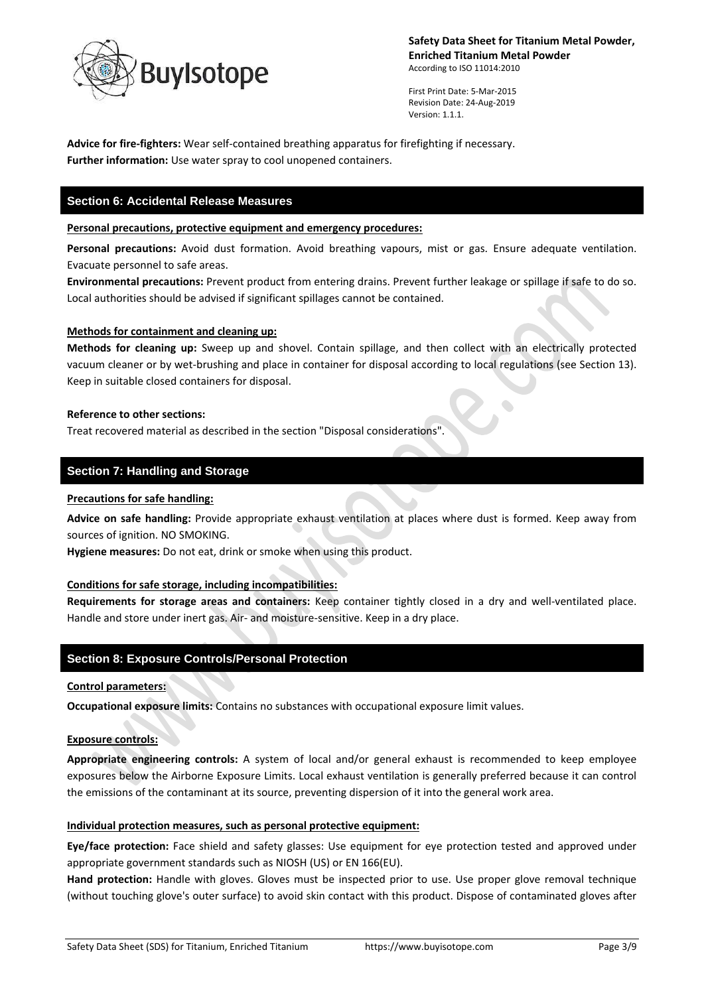

First Print Date: 5-Mar-2015 Revision Date: 24-Aug-2019 Version: 1.1.1.

**Advice for fire-fighters:** Wear self-contained breathing apparatus for firefighting if necessary. **Further information:** Use water spray to cool unopened containers.

# **Section 6: Accidental Release Measures**

#### **Personal precautions, protective equipment and emergency procedures:**

**Personal precautions:** Avoid dust formation. Avoid breathing vapours, mist or gas. Ensure adequate ventilation. Evacuate personnel to safe areas.

**Environmental precautions:** Prevent product from entering drains. Prevent further leakage or spillage if safe to do so. Local authorities should be advised if significant spillages cannot be contained.

### **Methods for containment and cleaning up:**

**Methods for cleaning up:** Sweep up and shovel. Contain spillage, and then collect with an electrically protected vacuum cleaner or by wet-brushing and place in container for disposal according to local regulations (see Section 13). Keep in suitable closed containers for disposal.

#### **Reference to other sections:**

Treat recovered material as described in the section "Disposal considerations".

### **Section 7: Handling and Storage**

### **Precautions for safe handling:**

**Advice on safe handling:** Provide appropriate exhaust ventilation at places where dust is formed. Keep away from sources of ignition. NO SMOKING.

**Hygiene measures:** Do not eat, drink or smoke when using this product.

### **Conditions for safe storage, including incompatibilities:**

**Requirements for storage areas and containers:** Keep container tightly closed in a dry and well-ventilated place. Handle and store under inert gas. Air- and moisture-sensitive. Keep in a dry place.

### **Section 8: Exposure Controls/Personal Protection**

#### **Control parameters:**

**Occupational exposure limits:** Contains no substances with occupational exposure limit values.

### **Exposure controls:**

**Appropriate engineering controls:** A system of local and/or general exhaust is recommended to keep employee exposures below the Airborne Exposure Limits. Local exhaust ventilation is generally preferred because it can control the emissions of the contaminant at its source, preventing dispersion of it into the general work area.

#### **Individual protection measures, such as personal protective equipment:**

**Eye/face protection:** Face shield and safety glasses: Use equipment for eye protection tested and approved under appropriate government standards such as NIOSH (US) or EN 166(EU).

**Hand protection:** Handle with gloves. Gloves must be inspected prior to use. Use proper glove removal technique (without touching glove's outer surface) to avoid skin contact with this product. Dispose of contaminated gloves after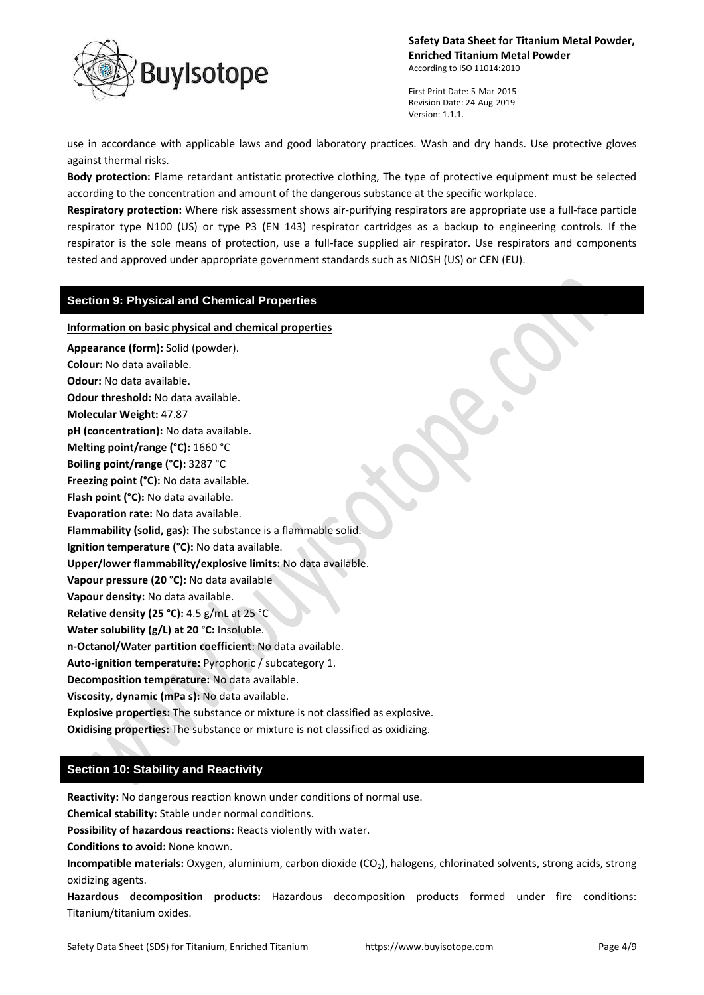

First Print Date: 5-Mar-2015 Revision Date: 24-Aug-2019 Version: 1.1.1.

use in accordance with applicable laws and good laboratory practices. Wash and dry hands. Use protective gloves against thermal risks.

**Body protection:** Flame retardant antistatic protective clothing, The type of protective equipment must be selected according to the concentration and amount of the dangerous substance at the specific workplace.

**Respiratory protection:** Where risk assessment shows air-purifying respirators are appropriate use a full-face particle respirator type N100 (US) or type P3 (EN 143) respirator cartridges as a backup to engineering controls. If the respirator is the sole means of protection, use a full-face supplied air respirator. Use respirators and components tested and approved under appropriate government standards such as NIOSH (US) or CEN (EU).

### **Section 9: Physical and Chemical Properties**

# **Information on basic physical and chemical properties Appearance (form):** Solid (powder). **Colour:** No data available. **Odour:** No data available. **Odour threshold:** No data available. **Molecular Weight:** 47.87 **pH (concentration):** No data available. **Melting point/range (°C):** 1660 °C **Boiling point/range (°C):** 3287 °C **Freezing point (°C):** No data available. **Flash point (°C):** No data available. **Evaporation rate:** No data available. **Flammability (solid, gas):** The substance is a flammable solid. **Ignition temperature (°C):** No data available. **Upper/lower flammability/explosive limits:** No data available. **Vapour pressure (20 °C):** No data available **Vapour density:** No data available. **Relative density (25 °C):** 4.5 g/mL at 25 °C **Water solubility (g/L) at 20 °C:** Insoluble. **n-Octanol/Water partition coefficient**: No data available. **Auto-ignition temperature:** Pyrophoric / subcategory 1. **Decomposition temperature:** No data available. **Viscosity, dynamic (mPa s):** No data available. **Explosive properties:** The substance or mixture is not classified as explosive. **Oxidising properties:** The substance or mixture is not classified as oxidizing.

# **Section 10: Stability and Reactivity**

**Reactivity:** No dangerous reaction known under conditions of normal use.

**Chemical stability:** Stable under normal conditions.

**Possibility of hazardous reactions:** Reacts violently with water.

**Conditions to avoid:** None known.

**Incompatible materials:** Oxygen, aluminium, carbon dioxide (CO<sub>2</sub>), halogens, chlorinated solvents, strong acids, strong oxidizing agents.

**Hazardous decomposition products:** Hazardous decomposition products formed under fire conditions: Titanium/titanium oxides.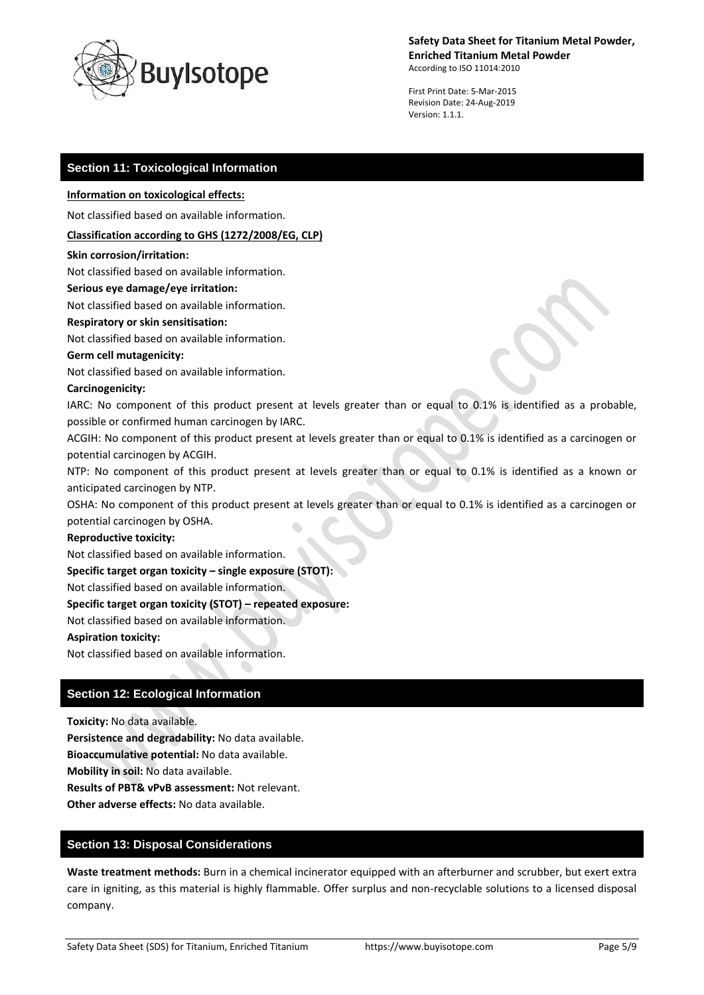

First Print Date: 5-Mar-2015 Revision Date: 24-Aug-2019 Version: 1.1.1.

### **Section 11: Toxicological Information**

#### **Information on toxicological effects:**

Not classified based on available information.

### **Classification according to GHS (1272/2008/EG, CLP)**

#### **Skin corrosion/irritation:**

Not classified based on available information.

#### **Serious eye damage/eye irritation:**

Not classified based on available information.

### **Respiratory or skin sensitisation:**

Not classified based on available information.

#### **Germ cell mutagenicity:**

Not classified based on available information.

### **Carcinogenicity:**

IARC: No component of this product present at levels greater than or equal to 0.1% is identified as a probable, possible or confirmed human carcinogen by IARC.

ACGIH: No component of this product present at levels greater than or equal to 0.1% is identified as a carcinogen or potential carcinogen by ACGIH.

NTP: No component of this product present at levels greater than or equal to 0.1% is identified as a known or anticipated carcinogen by NTP.

OSHA: No component of this product present at levels greater than or equal to 0.1% is identified as a carcinogen or potential carcinogen by OSHA.

#### **Reproductive toxicity:**

Not classified based on available information.

#### **Specific target organ toxicity – single exposure (STOT):**

Not classified based on available information.

### **Specific target organ toxicity (STOT) – repeated exposure:**

Not classified based on available information.

### **Aspiration toxicity:**

Not classified based on available information.

### **Section 12: Ecological Information**

**Toxicity:** No data available.

**Persistence and degradability:** No data available.

**Bioaccumulative potential:** No data available.

**Mobility in soil:** No data available.

**Results of PBT& vPvB assessment:** Not relevant.

**Other adverse effects:** No data available.

### **Section 13: Disposal Considerations**

**Waste treatment methods:** Burn in a chemical incinerator equipped with an afterburner and scrubber, but exert extra care in igniting, as this material is highly flammable. Offer surplus and non-recyclable solutions to a licensed disposal company.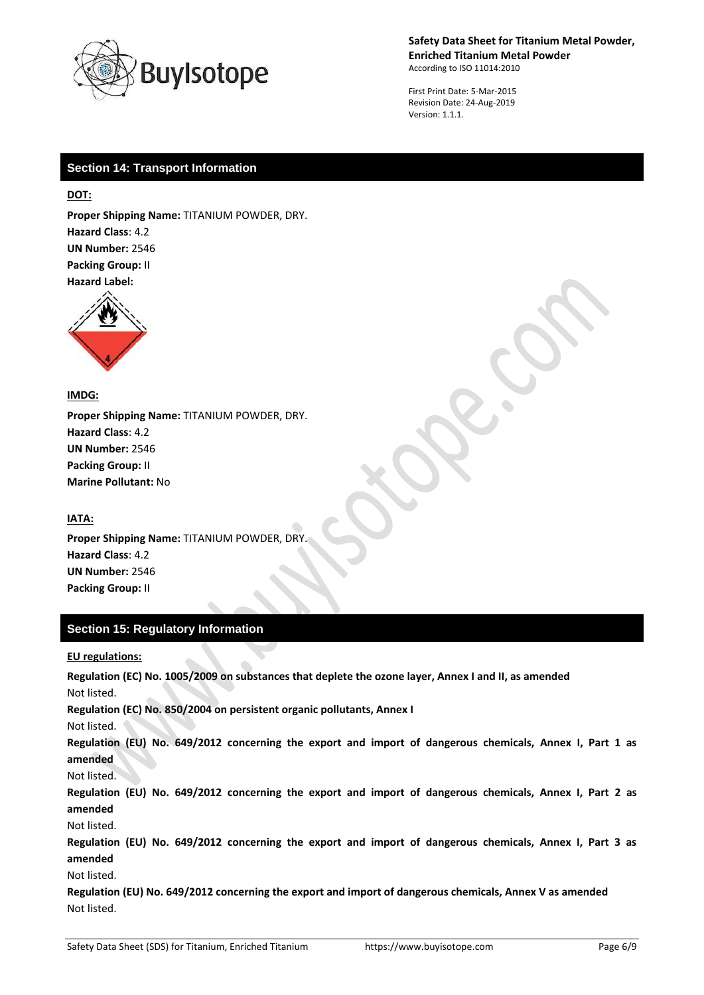

First Print Date: 5-Mar-2015 Revision Date: 24-Aug-2019 Version: 1.1.1.

# **Section 14: Transport Information**

**DOT:**

**Proper Shipping Name:** TITANIUM POWDER, DRY. **Hazard Class**: 4.2 **UN Number:** 2546 **Packing Group:** II **Hazard Label:** 



**IMDG:**

**Proper Shipping Name:** TITANIUM POWDER, DRY. **Hazard Class**: 4.2 **UN Number:** 2546 **Packing Group:** II **Marine Pollutant:** No

### **IATA:**

**Proper Shipping Name:** TITANIUM POWDER, DRY. **Hazard Class**: 4.2 **UN Number:** 2546 **Packing Group:** II

# **Section 15: Regulatory Information**

### **EU regulations:**

**Regulation (EC) No. 1005/2009 on substances that deplete the ozone layer, Annex I and II, as amended** Not listed. **Regulation (EC) No. 850/2004 on persistent organic pollutants, Annex I** Not listed. **Regulation (EU) No. 649/2012 concerning the export and import of dangerous chemicals, Annex I, Part 1 as amended** Not listed. **Regulation (EU) No. 649/2012 concerning the export and import of dangerous chemicals, Annex I, Part 2 as amended** Not listed. **Regulation (EU) No. 649/2012 concerning the export and import of dangerous chemicals, Annex I, Part 3 as amended** Not listed. **Regulation (EU) No. 649/2012 concerning the export and import of dangerous chemicals, Annex V as amended** Not listed.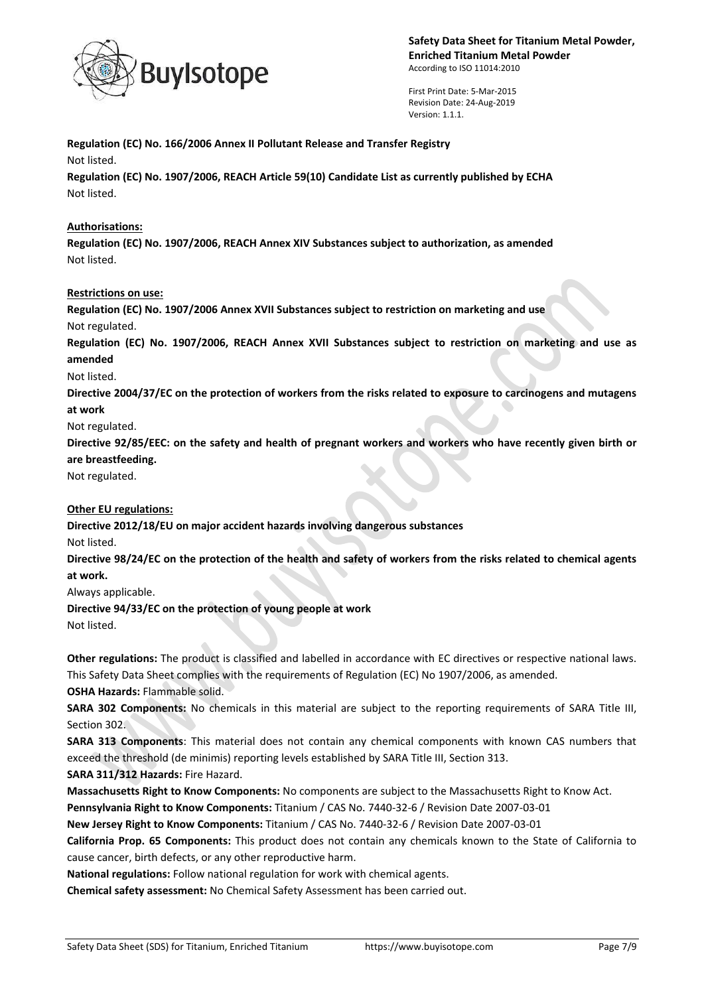

First Print Date: 5-Mar-2015 Revision Date: 24-Aug-2019 Version: 1.1.1.

**Regulation (EC) No. 166/2006 Annex II Pollutant Release and Transfer Registry** Not listed. **Regulation (EC) No. 1907/2006, REACH Article 59(10) Candidate List as currently published by ECHA** Not listed.

### **Authorisations:**

**Regulation (EC) No. 1907/2006, REACH Annex XIV Substances subject to authorization, as amended** Not listed.

### **Restrictions on use:**

**Regulation (EC) No. 1907/2006 Annex XVII Substances subject to restriction on marketing and use** Not regulated.

**Regulation (EC) No. 1907/2006, REACH Annex XVII Substances subject to restriction on marketing and use as amended**

Not listed.

**Directive 2004/37/EC on the protection of workers from the risks related to exposure to carcinogens and mutagens at work**

Not regulated.

**Directive 92/85/EEC: on the safety and health of pregnant workers and workers who have recently given birth or are breastfeeding.**

Not regulated.

### **Other EU regulations:**

**Directive 2012/18/EU on major accident hazards involving dangerous substances** Not listed.

**Directive 98/24/EC on the protection of the health and safety of workers from the risks related to chemical agents at work.**

Always applicable.

**Directive 94/33/EC on the protection of young people at work** Not listed.

**Other regulations:** The product is classified and labelled in accordance with EC directives or respective national laws. This Safety Data Sheet complies with the requirements of Regulation (EC) No 1907/2006, as amended.

**OSHA Hazards:** Flammable solid.

**SARA 302 Components:** No chemicals in this material are subject to the reporting requirements of SARA Title III, Section 302.

**SARA 313 Components**: This material does not contain any chemical components with known CAS numbers that exceed the threshold (de minimis) reporting levels established by SARA Title III, Section 313.

**SARA 311/312 Hazards:** Fire Hazard.

**Massachusetts Right to Know Components:** No components are subject to the Massachusetts Right to Know Act.

**Pennsylvania Right to Know Components:** Titanium / CAS No. 7440-32-6 / Revision Date 2007-03-01

**New Jersey Right to Know Components:** Titanium / CAS No. 7440-32-6 / Revision Date 2007-03-01

**California Prop. 65 Components:** This product does not contain any chemicals known to the State of California to cause cancer, birth defects, or any other reproductive harm.

**National regulations:** Follow national regulation for work with chemical agents.

**Chemical safety assessment:** No Chemical Safety Assessment has been carried out.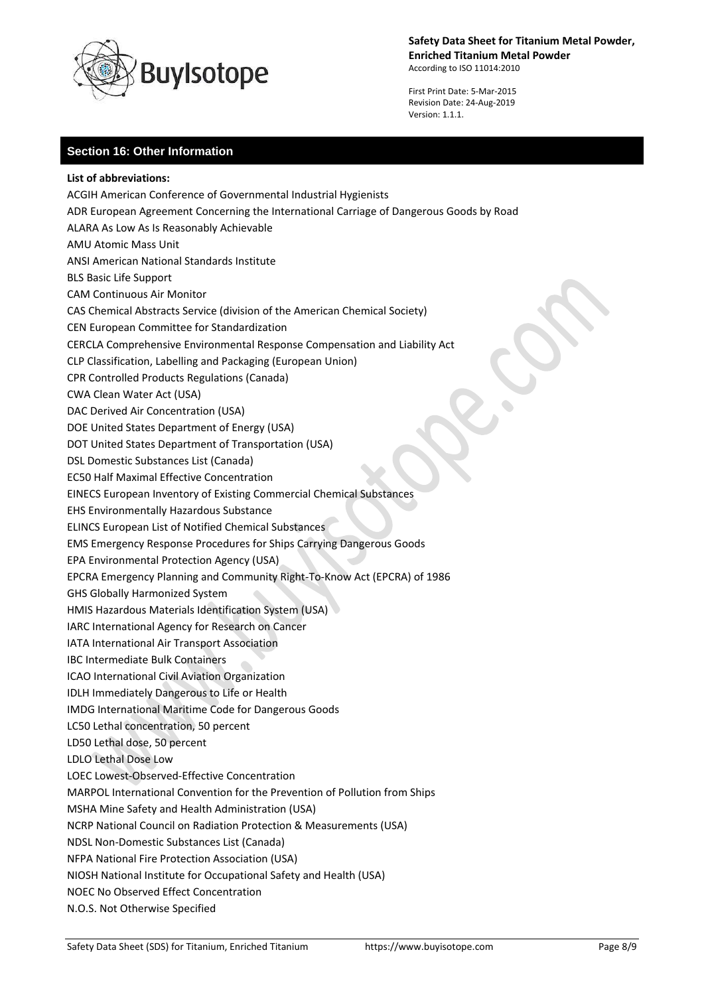

First Print Date: 5-Mar-2015 Revision Date: 24-Aug-2019 Version: 1.1.1.

# **Section 16: Other Information**

**List of abbreviations:** ACGIH American Conference of Governmental Industrial Hygienists ADR European Agreement Concerning the International Carriage of Dangerous Goods by Road ALARA As Low As Is Reasonably Achievable AMU Atomic Mass Unit ANSI American National Standards Institute BLS Basic Life Support CAM Continuous Air Monitor CAS Chemical Abstracts Service (division of the American Chemical Society) CEN European Committee for Standardization CERCLA Comprehensive Environmental Response Compensation and Liability Act CLP Classification, Labelling and Packaging (European Union) CPR Controlled Products Regulations (Canada) CWA Clean Water Act (USA) DAC Derived Air Concentration (USA) DOE United States Department of Energy (USA) DOT United States Department of Transportation (USA) DSL Domestic Substances List (Canada) EC50 Half Maximal Effective Concentration EINECS European Inventory of Existing Commercial Chemical Substances EHS Environmentally Hazardous Substance ELINCS European List of Notified Chemical Substances EMS Emergency Response Procedures for Ships Carrying Dangerous Goods EPA Environmental Protection Agency (USA) EPCRA Emergency Planning and Community Right-To-Know Act (EPCRA) of 1986 GHS Globally Harmonized System HMIS Hazardous Materials Identification System (USA) IARC International Agency for Research on Cancer IATA International Air Transport Association IBC Intermediate Bulk Containers ICAO International Civil Aviation Organization IDLH Immediately Dangerous to Life or Health IMDG International Maritime Code for Dangerous Goods LC50 Lethal concentration, 50 percent LD50 Lethal dose, 50 percent LDLO Lethal Dose Low LOEC Lowest-Observed-Effective Concentration MARPOL International Convention for the Prevention of Pollution from Ships MSHA Mine Safety and Health Administration (USA) NCRP National Council on Radiation Protection & Measurements (USA) NDSL Non-Domestic Substances List (Canada) NFPA National Fire Protection Association (USA) NIOSH National Institute for Occupational Safety and Health (USA) NOEC No Observed Effect Concentration N.O.S. Not Otherwise Specified